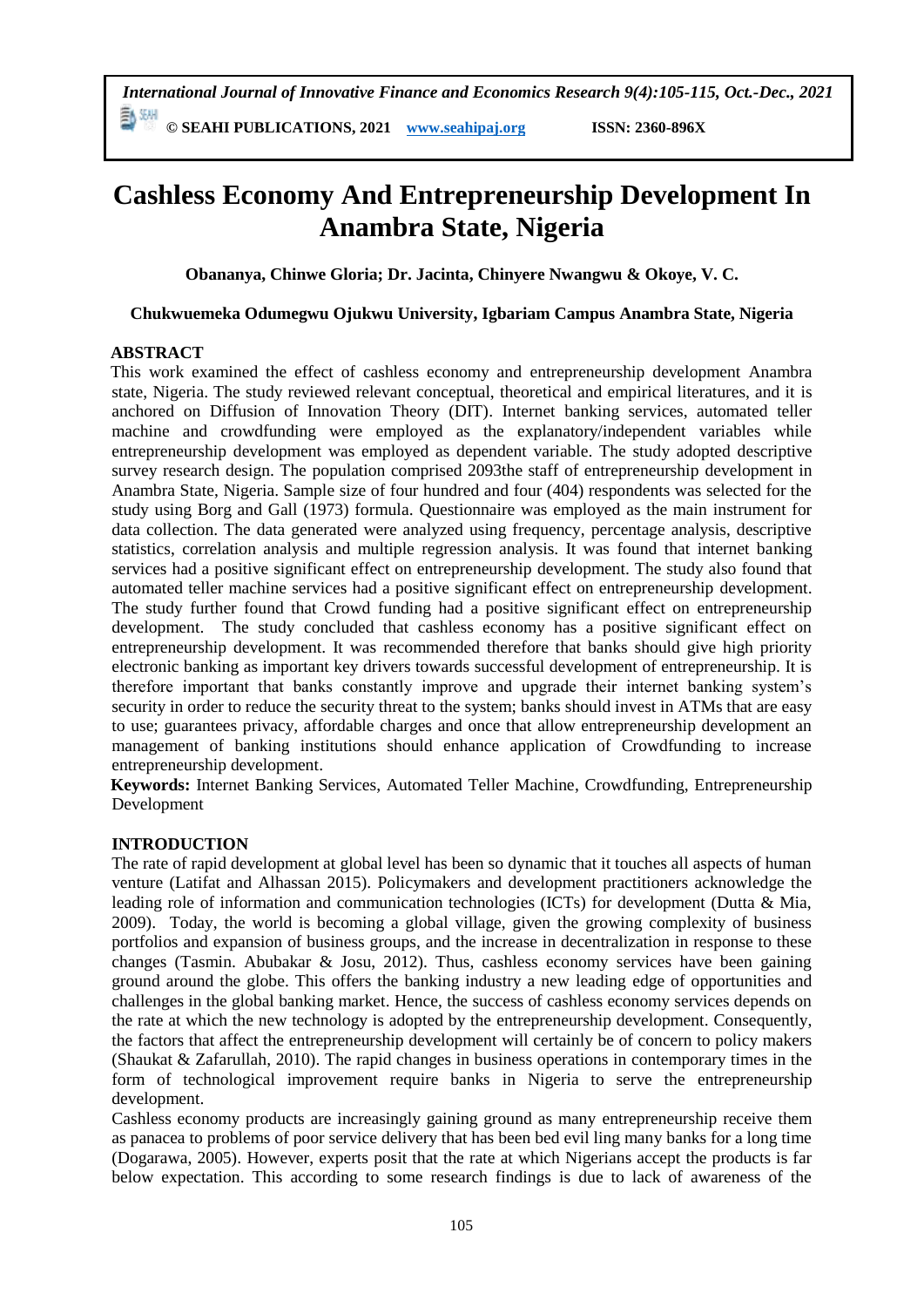*International Journal of Innovative Finance and Economics Research 9(4):105-115, Oct.-Dec., 2021* 副洲

**© SEAHI PUBLICATIONS, 2021 [www.seahipaj.org](http://www.seahipaj.org/) ISSN: 2360-896X**

# **Cashless Economy And Entrepreneurship Development In Anambra State, Nigeria**

**Obananya, Chinwe Gloria; Dr. Jacinta, Chinyere Nwangwu & Okoye, V. C.**

# **Chukwuemeka Odumegwu Ojukwu University, Igbariam Campus Anambra State, Nigeria**

# **ABSTRACT**

This work examined the effect of cashless economy and entrepreneurship development Anambra state, Nigeria. The study reviewed relevant conceptual, theoretical and empirical literatures, and it is anchored on Diffusion of Innovation Theory (DIT). Internet banking services, automated teller machine and crowdfunding were employed as the explanatory/independent variables while entrepreneurship development was employed as dependent variable. The study adopted descriptive survey research design. The population comprised 2093the staff of entrepreneurship development in Anambra State, Nigeria. Sample size of four hundred and four (404) respondents was selected for the study using Borg and Gall (1973) formula. Questionnaire was employed as the main instrument for data collection. The data generated were analyzed using frequency, percentage analysis, descriptive statistics, correlation analysis and multiple regression analysis. It was found that internet banking services had a positive significant effect on entrepreneurship development. The study also found that automated teller machine services had a positive significant effect on entrepreneurship development. The study further found that Crowd funding had a positive significant effect on entrepreneurship development. The study concluded that cashless economy has a positive significant effect on entrepreneurship development. It was recommended therefore that banks should give high priority electronic banking as important key drivers towards successful development of entrepreneurship. It is therefore important that banks constantly improve and upgrade their internet banking system's security in order to reduce the security threat to the system; banks should invest in ATMs that are easy to use; guarantees privacy, affordable charges and once that allow entrepreneurship development an management of banking institutions should enhance application of Crowdfunding to increase entrepreneurship development.

**Keywords:** Internet Banking Services, Automated Teller Machine, Crowdfunding, Entrepreneurship Development

# **INTRODUCTION**

The rate of rapid development at global level has been so dynamic that it touches all aspects of human venture (Latifat and Alhassan 2015). Policymakers and development practitioners acknowledge the leading role of information and communication technologies (ICTs) for development (Dutta & Mia, 2009). Today, the world is becoming a global village, given the growing complexity of business portfolios and expansion of business groups, and the increase in decentralization in response to these changes (Tasmin. Abubakar & Josu, 2012). Thus, cashless economy services have been gaining ground around the globe. This offers the banking industry a new leading edge of opportunities and challenges in the global banking market. Hence, the success of cashless economy services depends on the rate at which the new technology is adopted by the entrepreneurship development. Consequently, the factors that affect the entrepreneurship development will certainly be of concern to policy makers (Shaukat & Zafarullah, 2010). The rapid changes in business operations in contemporary times in the form of technological improvement require banks in Nigeria to serve the entrepreneurship development.

Cashless economy products are increasingly gaining ground as many entrepreneurship receive them as panacea to problems of poor service delivery that has been bed evil ling many banks for a long time (Dogarawa, 2005). However, experts posit that the rate at which Nigerians accept the products is far below expectation. This according to some research findings is due to lack of awareness of the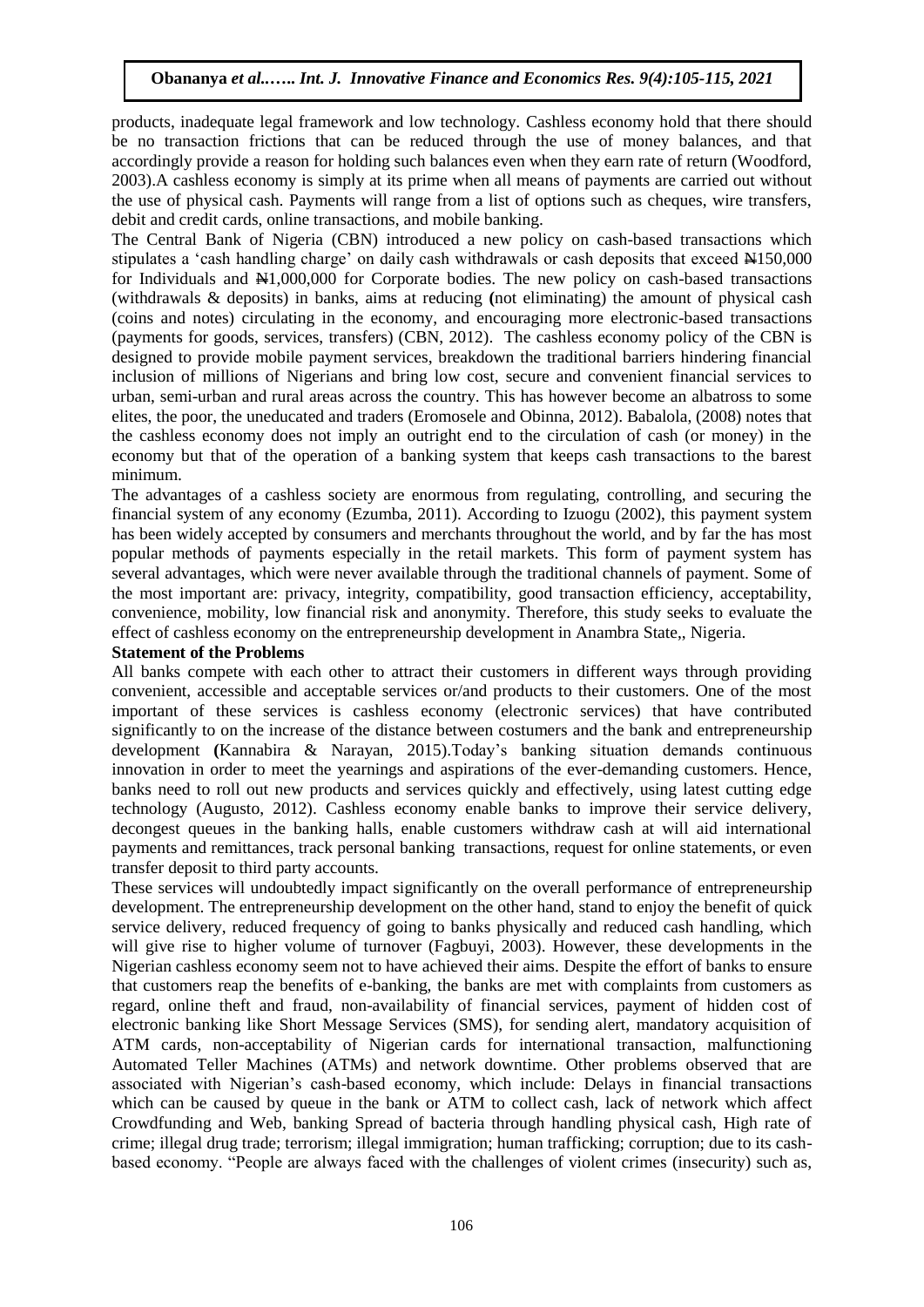products, inadequate legal framework and low technology. Cashless economy hold that there should be no transaction frictions that can be reduced through the use of money balances, and that accordingly provide a reason for holding such balances even when they earn rate of return (Woodford, 2003).A cashless economy is simply at its prime when all means of payments are carried out without the use of physical cash. Payments will range from a list of options such as cheques, wire transfers, debit and credit cards, online transactions, and mobile banking.

The Central Bank of Nigeria (CBN) introduced a new policy on cash-based transactions which stipulates a 'cash handling charge' on daily cash withdrawals or cash deposits that exceed  $\text{H150,000}$ for Individuals and  $\frac{N1,000,000}{N}$  for Corporate bodies. The new policy on cash-based transactions (withdrawals & deposits) in banks, aims at reducing **(**not eliminating) the amount of physical cash (coins and notes) circulating in the economy, and encouraging more electronic-based transactions (payments for goods, services, transfers) (CBN, 2012). The cashless economy policy of the CBN is designed to provide mobile payment services, breakdown the traditional barriers hindering financial inclusion of millions of Nigerians and bring low cost, secure and convenient financial services to urban, semi-urban and rural areas across the country. This has however become an albatross to some elites, the poor, the uneducated and traders (Eromosele and Obinna, 2012). Babalola, (2008) notes that the cashless economy does not imply an outright end to the circulation of cash (or money) in the economy but that of the operation of a banking system that keeps cash transactions to the barest minimum.

The advantages of a cashless society are enormous from regulating, controlling, and securing the financial system of any economy (Ezumba, 2011). According to Izuogu (2002), this payment system has been widely accepted by consumers and merchants throughout the world, and by far the has most popular methods of payments especially in the retail markets. This form of payment system has several advantages, which were never available through the traditional channels of payment. Some of the most important are: privacy, integrity, compatibility, good transaction efficiency, acceptability, convenience, mobility, low financial risk and anonymity. Therefore, this study seeks to evaluate the effect of cashless economy on the entrepreneurship development in Anambra State,, Nigeria.

#### **Statement of the Problems**

All banks compete with each other to attract their customers in different ways through providing convenient, accessible and acceptable services or/and products to their customers. One of the most important of these services is cashless economy (electronic services) that have contributed significantly to on the increase of the distance between costumers and the bank and entrepreneurship development **(**Kannabira & Narayan, 2015).Today's banking situation demands continuous innovation in order to meet the yearnings and aspirations of the ever-demanding customers. Hence, banks need to roll out new products and services quickly and effectively, using latest cutting edge technology (Augusto, 2012). Cashless economy enable banks to improve their service delivery, decongest queues in the banking halls, enable customers withdraw cash at will aid international payments and remittances, track personal banking transactions, request for online statements, or even transfer deposit to third party accounts.

These services will undoubtedly impact significantly on the overall performance of entrepreneurship development. The entrepreneurship development on the other hand, stand to enjoy the benefit of quick service delivery, reduced frequency of going to banks physically and reduced cash handling, which will give rise to higher volume of turnover (Fagbuyi, 2003). However, these developments in the Nigerian cashless economy seem not to have achieved their aims. Despite the effort of banks to ensure that customers reap the benefits of e-banking, the banks are met with complaints from customers as regard, online theft and fraud, non-availability of financial services, payment of hidden cost of electronic banking like Short Message Services (SMS), for sending alert, mandatory acquisition of ATM cards, non-acceptability of Nigerian cards for international transaction, malfunctioning Automated Teller Machines (ATMs) and network downtime. Other problems observed that are associated with Nigerian's cash-based economy, which include: Delays in financial transactions which can be caused by queue in the bank or ATM to collect cash, lack of network which affect Crowdfunding and Web, banking Spread of bacteria through handling physical cash, High rate of crime; illegal drug trade; terrorism; illegal immigration; human trafficking; corruption; due to its cashbased economy. "People are always faced with the challenges of violent crimes (insecurity) such as,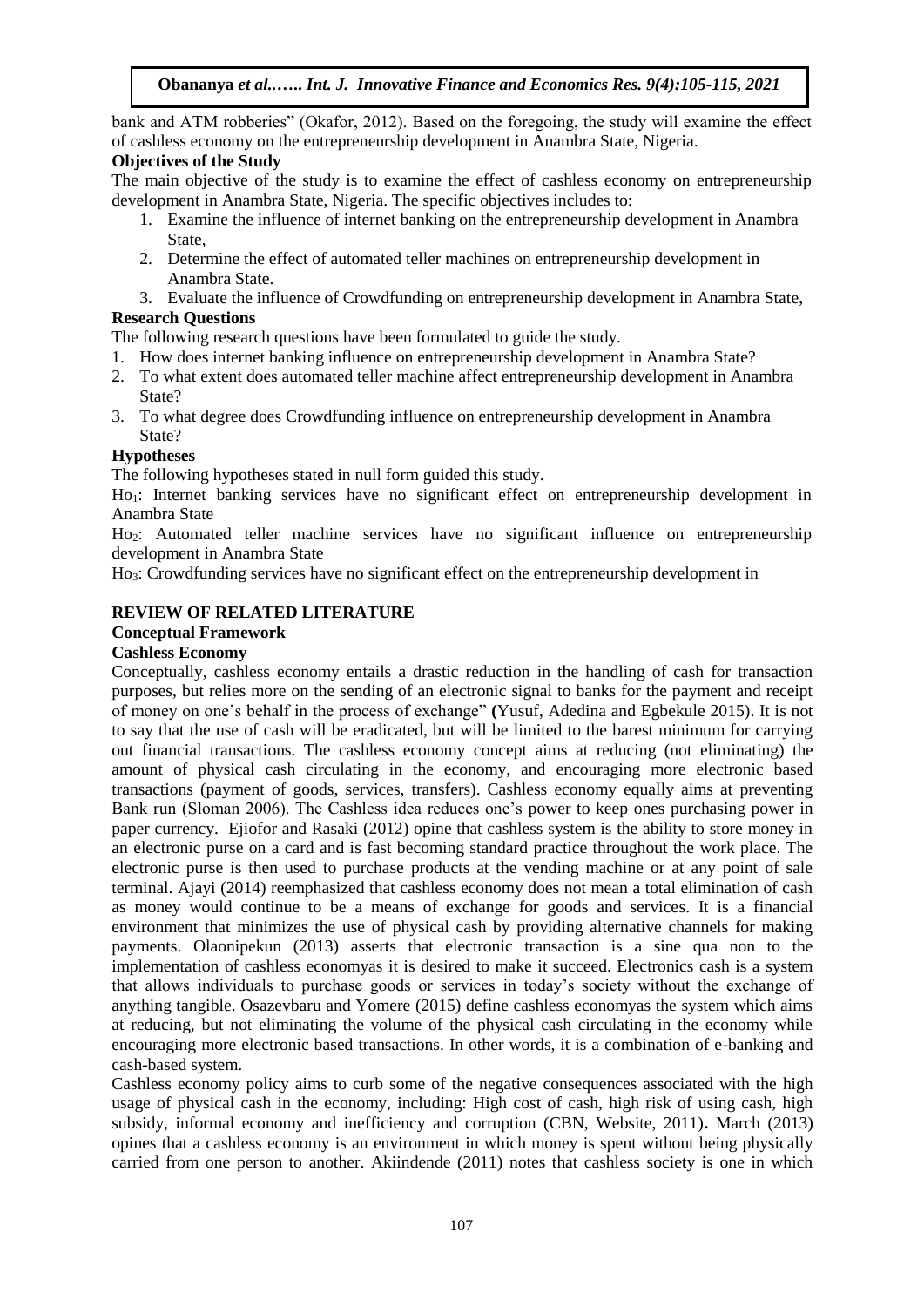bank and ATM robberies" (Okafor, 2012). Based on the foregoing, the study will examine the effect of cashless economy on the entrepreneurship development in Anambra State, Nigeria.

# **Objectives of the Study**

The main objective of the study is to examine the effect of cashless economy on entrepreneurship development in Anambra State, Nigeria. The specific objectives includes to:

- 1. Examine the influence of internet banking on the entrepreneurship development in Anambra State,
- 2. Determine the effect of automated teller machines on entrepreneurship development in Anambra State.
- 3. Evaluate the influence of Crowdfunding on entrepreneurship development in Anambra State,

# **Research Questions**

The following research questions have been formulated to guide the study.

- 1. How does internet banking influence on entrepreneurship development in Anambra State?
- 2. To what extent does automated teller machine affect entrepreneurship development in Anambra State?
- 3. To what degree does Crowdfunding influence on entrepreneurship development in Anambra State?

# **Hypotheses**

The following hypotheses stated in null form guided this study.

Ho1: Internet banking services have no significant effect on entrepreneurship development in Anambra State

Ho2: Automated teller machine services have no significant influence on entrepreneurship development in Anambra State

Ho3: Crowdfunding services have no significant effect on the entrepreneurship development in

# **REVIEW OF RELATED LITERATURE**

# **Conceptual Framework**

# **Cashless Economy**

Conceptually, cashless economy entails a drastic reduction in the handling of cash for transaction purposes, but relies more on the sending of an electronic signal to banks for the payment and receipt of money on one's behalf in the process of exchange" **(**Yusuf, Adedina and Egbekule 2015). It is not to say that the use of cash will be eradicated, but will be limited to the barest minimum for carrying out financial transactions. The cashless economy concept aims at reducing (not eliminating) the amount of physical cash circulating in the economy, and encouraging more electronic based transactions (payment of goods, services, transfers). Cashless economy equally aims at preventing Bank run (Sloman 2006). The Cashless idea reduces one's power to keep ones purchasing power in paper currency. Ejiofor and Rasaki (2012) opine that cashless system is the ability to store money in an electronic purse on a card and is fast becoming standard practice throughout the work place. The electronic purse is then used to purchase products at the vending machine or at any point of sale terminal. Ajayi (2014) reemphasized that cashless economy does not mean a total elimination of cash as money would continue to be a means of exchange for goods and services. It is a financial environment that minimizes the use of physical cash by providing alternative channels for making payments. Olaonipekun (2013) asserts that electronic transaction is a sine qua non to the implementation of cashless economyas it is desired to make it succeed. Electronics cash is a system that allows individuals to purchase goods or services in today's society without the exchange of anything tangible. Osazevbaru and Yomere (2015) define cashless economyas the system which aims at reducing, but not eliminating the volume of the physical cash circulating in the economy while encouraging more electronic based transactions. In other words, it is a combination of e-banking and cash-based system.

Cashless economy policy aims to curb some of the negative consequences associated with the high usage of physical cash in the economy, including: High cost of cash, high risk of using cash, high subsidy, informal economy and inefficiency and corruption (CBN, Website, 2011)**.** March (2013) opines that a cashless economy is an environment in which money is spent without being physically carried from one person to another. Akiindende (2011) notes that cashless society is one in which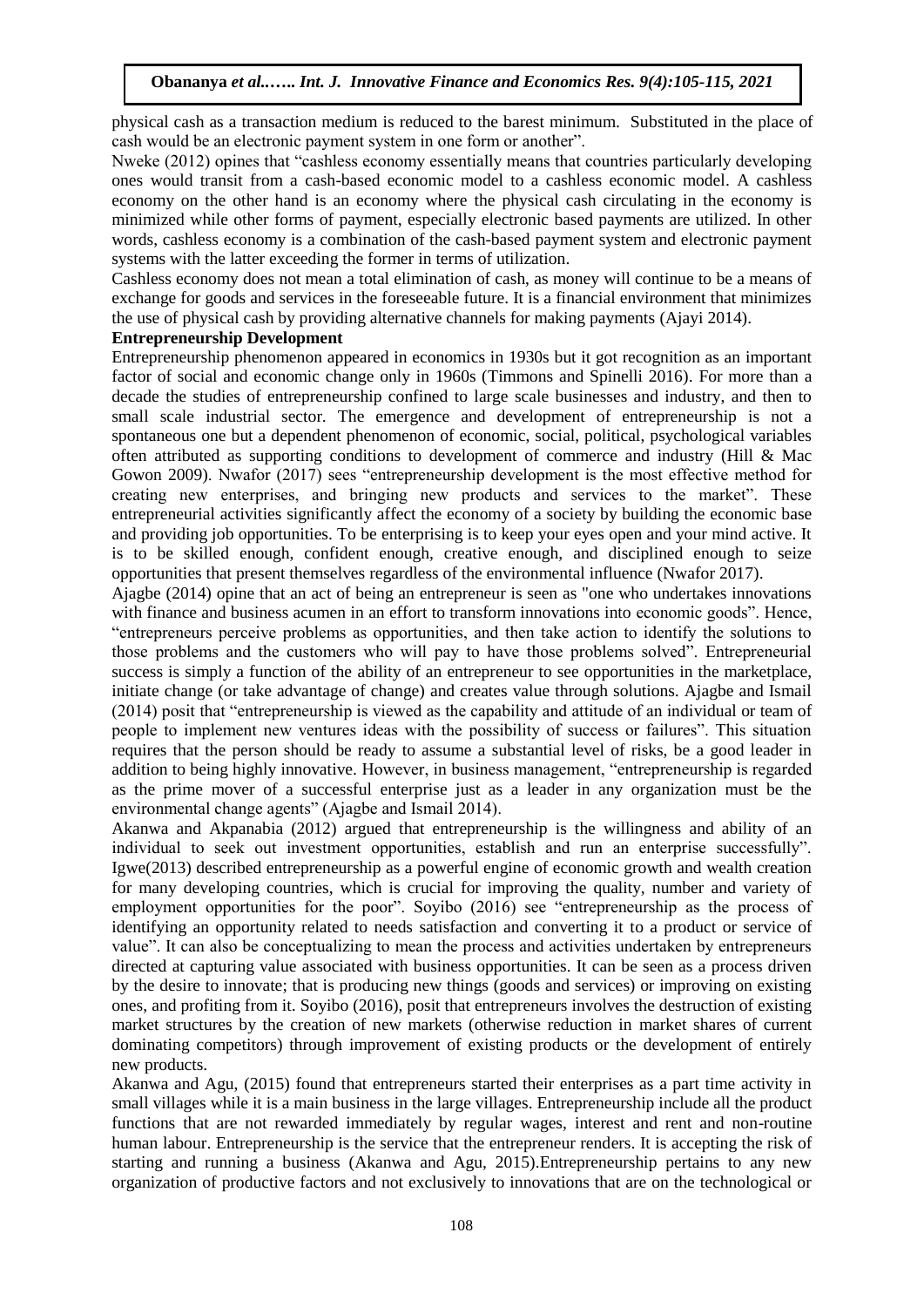physical cash as a transaction medium is reduced to the barest minimum. Substituted in the place of cash would be an electronic payment system in one form or another".

Nweke (2012) opines that "cashless economy essentially means that countries particularly developing ones would transit from a cash-based economic model to a cashless economic model. A cashless economy on the other hand is an economy where the physical cash circulating in the economy is minimized while other forms of payment, especially electronic based payments are utilized. In other words, cashless economy is a combination of the cash-based payment system and electronic payment systems with the latter exceeding the former in terms of utilization.

Cashless economy does not mean a total elimination of cash, as money will continue to be a means of exchange for goods and services in the foreseeable future. It is a financial environment that minimizes the use of physical cash by providing alternative channels for making payments (Ajayi 2014).

#### **Entrepreneurship Development**

Entrepreneurship phenomenon appeared in economics in 1930s but it got recognition as an important factor of social and economic change only in 1960s (Timmons and Spinelli 2016). For more than a decade the studies of entrepreneurship confined to large scale businesses and industry, and then to small scale industrial sector. The emergence and development of entrepreneurship is not a spontaneous one but a dependent phenomenon of economic, social, political, psychological variables often attributed as supporting conditions to development of commerce and industry (Hill & Mac Gowon 2009). Nwafor (2017) sees "entrepreneurship development is the most effective method for creating new enterprises, and bringing new products and services to the market". These entrepreneurial activities significantly affect the economy of a society by building the economic base and providing job opportunities. To be enterprising is to keep your eyes open and your mind active. It is to be skilled enough, confident enough, creative enough, and disciplined enough to seize opportunities that present themselves regardless of the environmental influence (Nwafor 2017).

Ajagbe (2014) opine that an act of being an entrepreneur is seen as "one who undertakes innovations with finance and business acumen in an effort to transform innovations into economic goods". Hence, "entrepreneurs perceive problems as opportunities, and then take action to identify the solutions to those problems and the customers who will pay to have those problems solved". Entrepreneurial success is simply a function of the ability of an entrepreneur to see opportunities in the marketplace, initiate change (or take advantage of change) and creates value through solutions. Ajagbe and Ismail (2014) posit that "entrepreneurship is viewed as the capability and attitude of an individual or team of people to implement new ventures ideas with the possibility of success or failures". This situation requires that the person should be ready to assume a substantial level of risks, be a good leader in addition to being highly innovative. However, in business management, "entrepreneurship is regarded as the prime mover of a successful enterprise just as a leader in any organization must be the environmental change agents" (Ajagbe and Ismail 2014).

Akanwa and Akpanabia (2012) argued that entrepreneurship is the willingness and ability of an individual to seek out investment opportunities, establish and run an enterprise successfully". Igwe(2013) described entrepreneurship as a powerful engine of economic growth and wealth creation for many developing countries, which is crucial for improving the quality, number and variety of employment opportunities for the poor". Soyibo (2016) see "entrepreneurship as the process of identifying an opportunity related to needs satisfaction and converting it to a product or service of value". It can also be conceptualizing to mean the process and activities undertaken by entrepreneurs directed at capturing value associated with business opportunities. It can be seen as a process driven by the desire to innovate; that is producing new things (goods and services) or improving on existing ones, and profiting from it. Soyibo (2016), posit that entrepreneurs involves the destruction of existing market structures by the creation of new markets (otherwise reduction in market shares of current dominating competitors) through improvement of existing products or the development of entirely new products.

Akanwa and Agu, (2015) found that entrepreneurs started their enterprises as a part time activity in small villages while it is a main business in the large villages. Entrepreneurship include all the product functions that are not rewarded immediately by regular wages, interest and rent and non-routine human labour. Entrepreneurship is the service that the entrepreneur renders. It is accepting the risk of starting and running a business (Akanwa and Agu, 2015).Entrepreneurship pertains to any new organization of productive factors and not exclusively to innovations that are on the technological or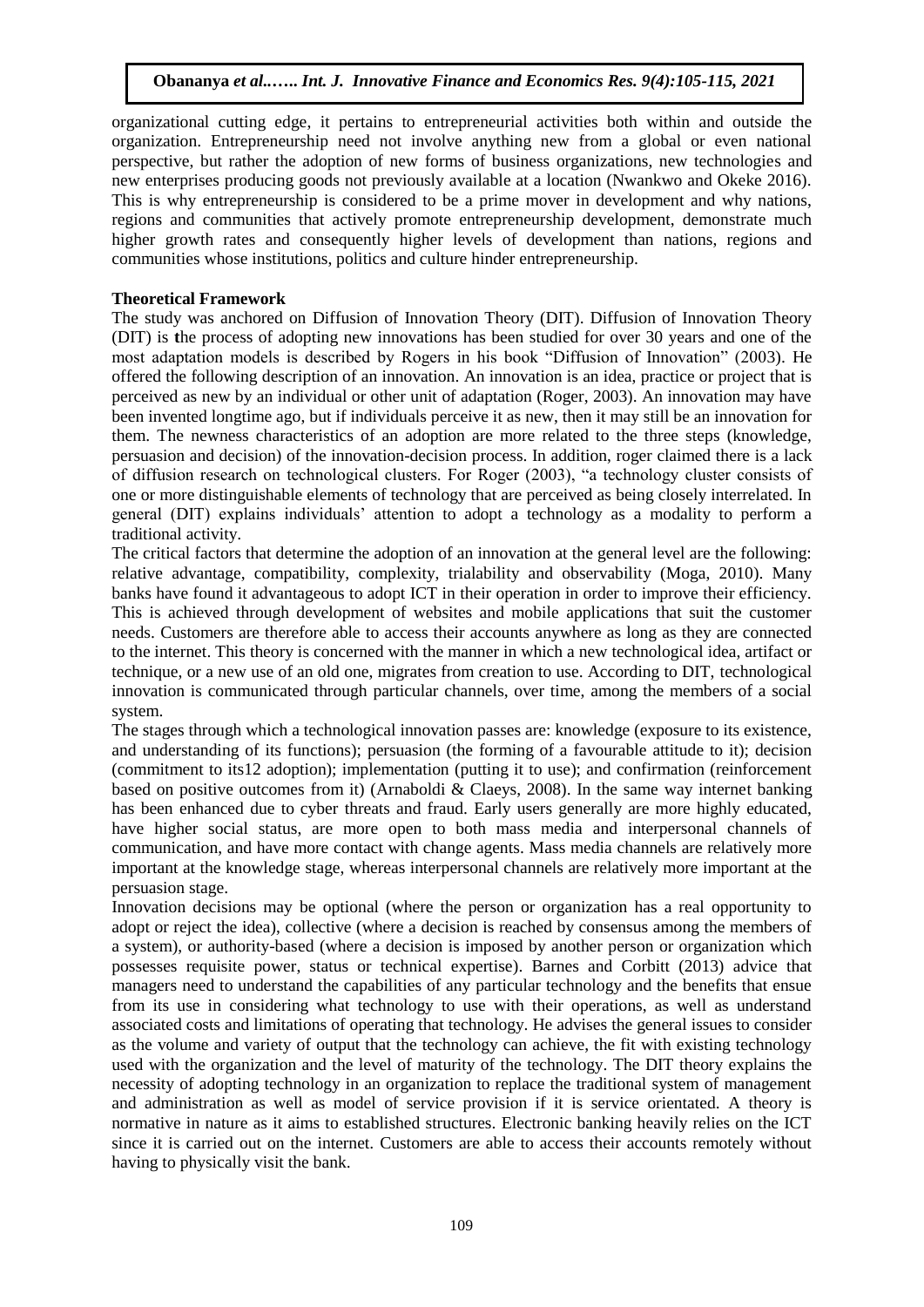organizational cutting edge, it pertains to entrepreneurial activities both within and outside the organization. Entrepreneurship need not involve anything new from a global or even national perspective, but rather the adoption of new forms of business organizations, new technologies and new enterprises producing goods not previously available at a location (Nwankwo and Okeke 2016). This is why entrepreneurship is considered to be a prime mover in development and why nations, regions and communities that actively promote entrepreneurship development, demonstrate much higher growth rates and consequently higher levels of development than nations, regions and communities whose institutions, politics and culture hinder entrepreneurship.

# **Theoretical Framework**

The study was anchored on Diffusion of Innovation Theory (DIT). Diffusion of Innovation Theory (DIT) is **t**he process of adopting new innovations has been studied for over 30 years and one of the most adaptation models is described by Rogers in his book "Diffusion of Innovation" (2003). He offered the following description of an innovation. An innovation is an idea, practice or project that is perceived as new by an individual or other unit of adaptation (Roger, 2003). An innovation may have been invented longtime ago, but if individuals perceive it as new, then it may still be an innovation for them. The newness characteristics of an adoption are more related to the three steps (knowledge, persuasion and decision) of the innovation-decision process. In addition, roger claimed there is a lack of diffusion research on technological clusters. For Roger (2003), "a technology cluster consists of one or more distinguishable elements of technology that are perceived as being closely interrelated. In general (DIT) explains individuals' attention to adopt a technology as a modality to perform a traditional activity.

The critical factors that determine the adoption of an innovation at the general level are the following: relative advantage, compatibility, complexity, trialability and observability (Moga, 2010). Many banks have found it advantageous to adopt ICT in their operation in order to improve their efficiency. This is achieved through development of websites and mobile applications that suit the customer needs. Customers are therefore able to access their accounts anywhere as long as they are connected to the internet. This theory is concerned with the manner in which a new technological idea, artifact or technique, or a new use of an old one, migrates from creation to use. According to DIT, technological innovation is communicated through particular channels, over time, among the members of a social system.

The stages through which a technological innovation passes are: knowledge (exposure to its existence, and understanding of its functions); persuasion (the forming of a favourable attitude to it); decision (commitment to its12 adoption); implementation (putting it to use); and confirmation (reinforcement based on positive outcomes from it) (Arnaboldi & Claeys, 2008). In the same way internet banking has been enhanced due to cyber threats and fraud. Early users generally are more highly educated, have higher social status, are more open to both mass media and interpersonal channels of communication, and have more contact with change agents. Mass media channels are relatively more important at the knowledge stage, whereas interpersonal channels are relatively more important at the persuasion stage.

Innovation decisions may be optional (where the person or organization has a real opportunity to adopt or reject the idea), collective (where a decision is reached by consensus among the members of a system), or authority-based (where a decision is imposed by another person or organization which possesses requisite power, status or technical expertise). Barnes and Corbitt (2013) advice that managers need to understand the capabilities of any particular technology and the benefits that ensue from its use in considering what technology to use with their operations, as well as understand associated costs and limitations of operating that technology. He advises the general issues to consider as the volume and variety of output that the technology can achieve, the fit with existing technology used with the organization and the level of maturity of the technology. The DIT theory explains the necessity of adopting technology in an organization to replace the traditional system of management and administration as well as model of service provision if it is service orientated. A theory is normative in nature as it aims to established structures. Electronic banking heavily relies on the ICT since it is carried out on the internet. Customers are able to access their accounts remotely without having to physically visit the bank.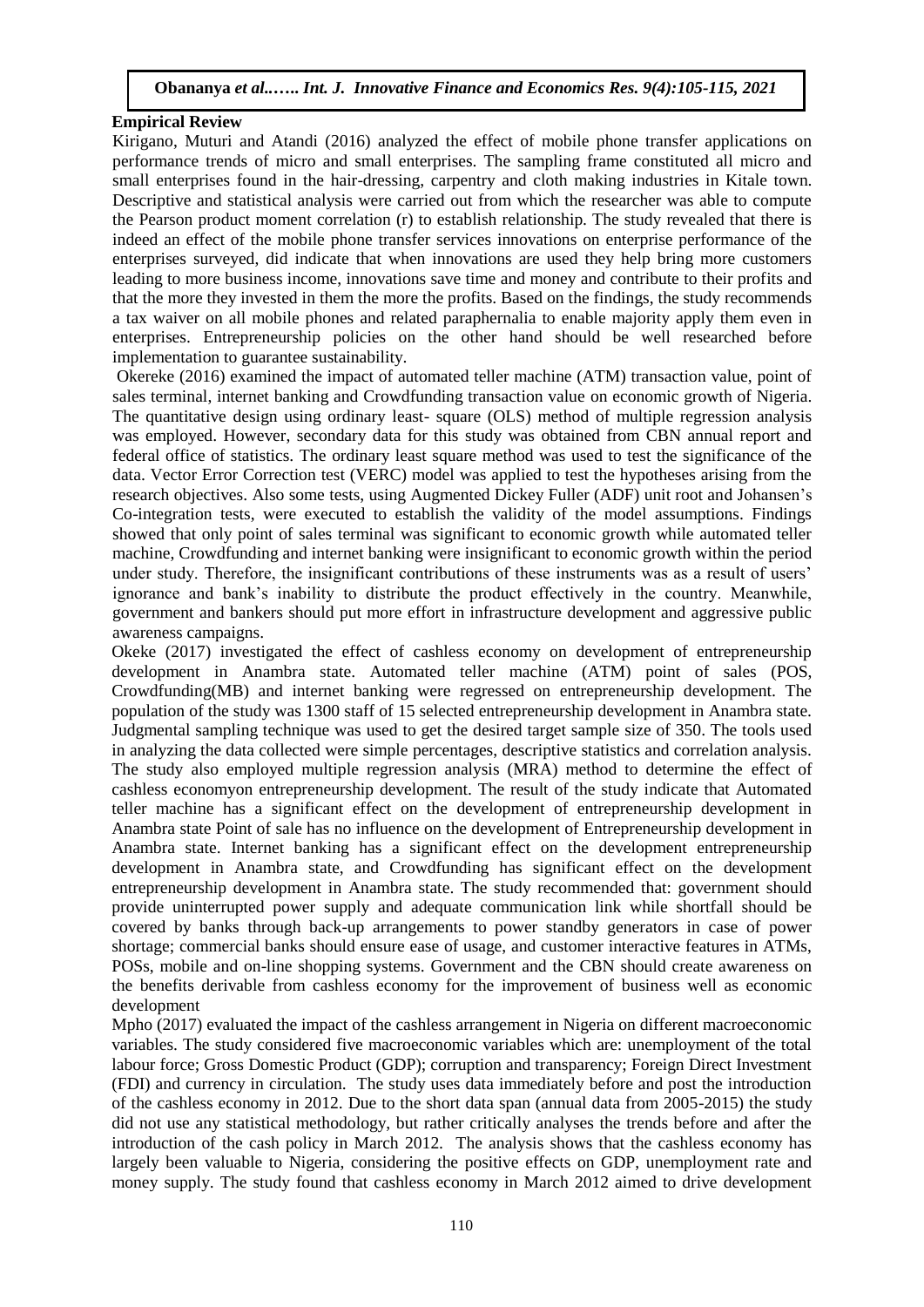#### **Empirical Review**

Kirigano, Muturi and Atandi (2016) analyzed the effect of mobile phone transfer applications on performance trends of micro and small enterprises. The sampling frame constituted all micro and small enterprises found in the hair-dressing, carpentry and cloth making industries in Kitale town. Descriptive and statistical analysis were carried out from which the researcher was able to compute the Pearson product moment correlation (r) to establish relationship. The study revealed that there is indeed an effect of the mobile phone transfer services innovations on enterprise performance of the enterprises surveyed, did indicate that when innovations are used they help bring more customers leading to more business income, innovations save time and money and contribute to their profits and that the more they invested in them the more the profits. Based on the findings, the study recommends a tax waiver on all mobile phones and related paraphernalia to enable majority apply them even in enterprises. Entrepreneurship policies on the other hand should be well researched before implementation to guarantee sustainability.

Okereke (2016) examined the impact of automated teller machine (ATM) transaction value, point of sales terminal, internet banking and Crowdfunding transaction value on economic growth of Nigeria. The quantitative design using ordinary least- square (OLS) method of multiple regression analysis was employed. However, secondary data for this study was obtained from CBN annual report and federal office of statistics. The ordinary least square method was used to test the significance of the data. Vector Error Correction test (VERC) model was applied to test the hypotheses arising from the research objectives. Also some tests, using Augmented Dickey Fuller (ADF) unit root and Johansen's Co-integration tests, were executed to establish the validity of the model assumptions. Findings showed that only point of sales terminal was significant to economic growth while automated teller machine, Crowdfunding and internet banking were insignificant to economic growth within the period under study. Therefore, the insignificant contributions of these instruments was as a result of users' ignorance and bank's inability to distribute the product effectively in the country. Meanwhile, government and bankers should put more effort in infrastructure development and aggressive public awareness campaigns.

Okeke (2017) investigated the effect of cashless economy on development of entrepreneurship development in Anambra state. Automated teller machine (ATM) point of sales (POS, Crowdfunding(MB) and internet banking were regressed on entrepreneurship development. The population of the study was 1300 staff of 15 selected entrepreneurship development in Anambra state. Judgmental sampling technique was used to get the desired target sample size of 350. The tools used in analyzing the data collected were simple percentages, descriptive statistics and correlation analysis. The study also employed multiple regression analysis (MRA) method to determine the effect of cashless economyon entrepreneurship development. The result of the study indicate that Automated teller machine has a significant effect on the development of entrepreneurship development in Anambra state Point of sale has no influence on the development of Entrepreneurship development in Anambra state. Internet banking has a significant effect on the development entrepreneurship development in Anambra state, and Crowdfunding has significant effect on the development entrepreneurship development in Anambra state. The study recommended that: government should provide uninterrupted power supply and adequate communication link while shortfall should be covered by banks through back-up arrangements to power standby generators in case of power shortage; commercial banks should ensure ease of usage, and customer interactive features in ATMs, POSs, mobile and on-line shopping systems. Government and the CBN should create awareness on the benefits derivable from cashless economy for the improvement of business well as economic development

Mpho (2017) evaluated the impact of the cashless arrangement in Nigeria on different macroeconomic variables. The study considered five macroeconomic variables which are: unemployment of the total labour force; Gross Domestic Product (GDP); corruption and transparency; Foreign Direct Investment (FDI) and currency in circulation. The study uses data immediately before and post the introduction of the cashless economy in 2012. Due to the short data span (annual data from 2005-2015) the study did not use any statistical methodology, but rather critically analyses the trends before and after the introduction of the cash policy in March 2012. The analysis shows that the cashless economy has largely been valuable to Nigeria, considering the positive effects on GDP, unemployment rate and money supply. The study found that cashless economy in March 2012 aimed to drive development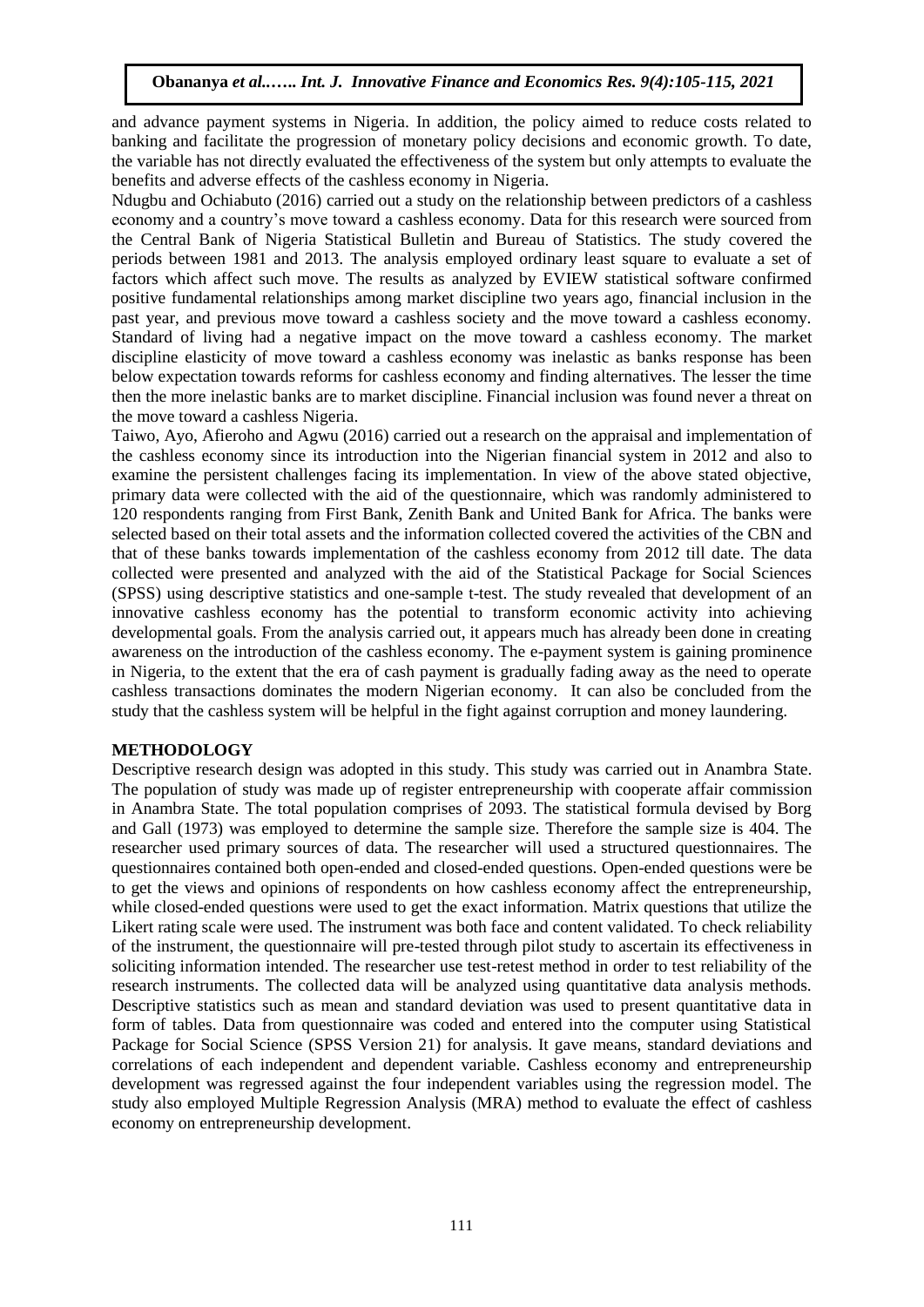and advance payment systems in Nigeria. In addition, the policy aimed to reduce costs related to banking and facilitate the progression of monetary policy decisions and economic growth. To date, the variable has not directly evaluated the effectiveness of the system but only attempts to evaluate the benefits and adverse effects of the cashless economy in Nigeria.

Ndugbu and Ochiabuto (2016) carried out a study on the relationship between predictors of a cashless economy and a country's move toward a cashless economy. Data for this research were sourced from the Central Bank of Nigeria Statistical Bulletin and Bureau of Statistics. The study covered the periods between 1981 and 2013. The analysis employed ordinary least square to evaluate a set of factors which affect such move. The results as analyzed by EVIEW statistical software confirmed positive fundamental relationships among market discipline two years ago, financial inclusion in the past year, and previous move toward a cashless society and the move toward a cashless economy. Standard of living had a negative impact on the move toward a cashless economy. The market discipline elasticity of move toward a cashless economy was inelastic as banks response has been below expectation towards reforms for cashless economy and finding alternatives. The lesser the time then the more inelastic banks are to market discipline. Financial inclusion was found never a threat on the move toward a cashless Nigeria.

Taiwo, Ayo, Afieroho and Agwu (2016) carried out a research on the appraisal and implementation of the cashless economy since its introduction into the Nigerian financial system in 2012 and also to examine the persistent challenges facing its implementation. In view of the above stated objective, primary data were collected with the aid of the questionnaire, which was randomly administered to 120 respondents ranging from First Bank, Zenith Bank and United Bank for Africa. The banks were selected based on their total assets and the information collected covered the activities of the CBN and that of these banks towards implementation of the cashless economy from 2012 till date. The data collected were presented and analyzed with the aid of the Statistical Package for Social Sciences (SPSS) using descriptive statistics and one-sample t-test. The study revealed that development of an innovative cashless economy has the potential to transform economic activity into achieving developmental goals. From the analysis carried out, it appears much has already been done in creating awareness on the introduction of the cashless economy. The e-payment system is gaining prominence in Nigeria, to the extent that the era of cash payment is gradually fading away as the need to operate cashless transactions dominates the modern Nigerian economy. It can also be concluded from the study that the cashless system will be helpful in the fight against corruption and money laundering.

#### **METHODOLOGY**

Descriptive research design was adopted in this study. This study was carried out in Anambra State. The population of study was made up of register entrepreneurship with cooperate affair commission in Anambra State. The total population comprises of 2093. The statistical formula devised by Borg and Gall (1973) was employed to determine the sample size. Therefore the sample size is 404. The researcher used primary sources of data. The researcher will used a structured questionnaires. The questionnaires contained both open-ended and closed-ended questions. Open-ended questions were be to get the views and opinions of respondents on how cashless economy affect the entrepreneurship, while closed-ended questions were used to get the exact information. Matrix questions that utilize the Likert rating scale were used. The instrument was both face and content validated. To check reliability of the instrument, the questionnaire will pre-tested through pilot study to ascertain its effectiveness in soliciting information intended. The researcher use test-retest method in order to test reliability of the research instruments. The collected data will be analyzed using quantitative data analysis methods. Descriptive statistics such as mean and standard deviation was used to present quantitative data in form of tables. Data from questionnaire was coded and entered into the computer using Statistical Package for Social Science (SPSS Version 21) for analysis. It gave means, standard deviations and correlations of each independent and dependent variable. Cashless economy and entrepreneurship development was regressed against the four independent variables using the regression model. The study also employed Multiple Regression Analysis (MRA) method to evaluate the effect of cashless economy on entrepreneurship development.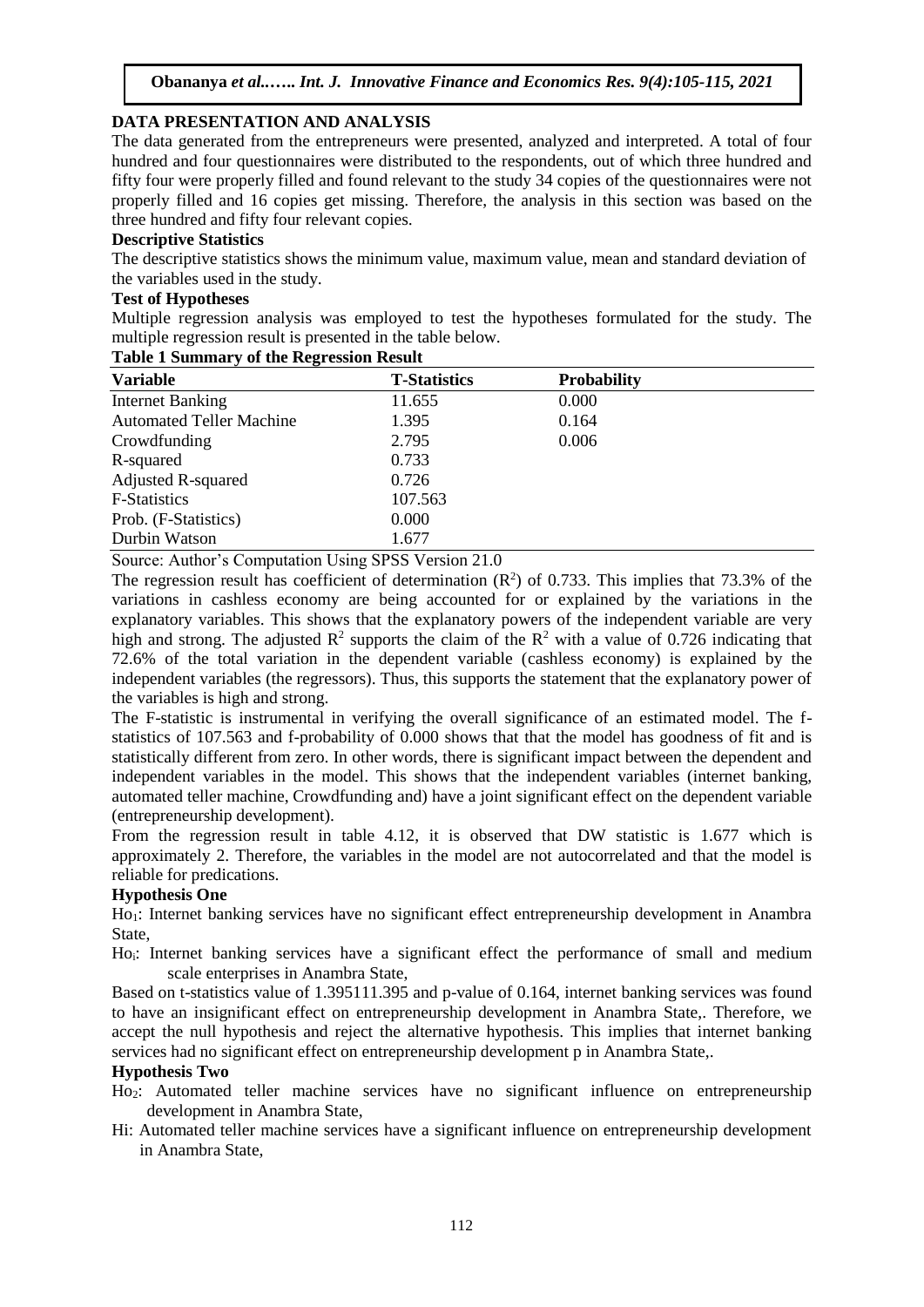# **DATA PRESENTATION AND ANALYSIS**

The data generated from the entrepreneurs were presented, analyzed and interpreted. A total of four hundred and four questionnaires were distributed to the respondents, out of which three hundred and fifty four were properly filled and found relevant to the study 34 copies of the questionnaires were not properly filled and 16 copies get missing. Therefore, the analysis in this section was based on the three hundred and fifty four relevant copies.

# **Descriptive Statistics**

The descriptive statistics shows the minimum value, maximum value, mean and standard deviation of the variables used in the study.

#### **Test of Hypotheses**

Multiple regression analysis was employed to test the hypotheses formulated for the study. The multiple regression result is presented in the table below.

| <b>Variable</b>                 | <b>T-Statistics</b> | <b>Probability</b> |  |
|---------------------------------|---------------------|--------------------|--|
| <b>Internet Banking</b>         | 11.655              | 0.000              |  |
| <b>Automated Teller Machine</b> | 1.395               | 0.164              |  |
| Crowdfunding                    | 2.795               | 0.006              |  |
| R-squared                       | 0.733               |                    |  |
| <b>Adjusted R-squared</b>       | 0.726               |                    |  |
| <b>F-Statistics</b>             | 107.563             |                    |  |
| Prob. (F-Statistics)            | 0.000               |                    |  |
| Durbin Watson                   | 1.677               |                    |  |

#### **Table 1 Summary of the Regression Result**

Source: Author's Computation Using SPSS Version 21.0

The regression result has coefficient of determination  $(R^2)$  of 0.733. This implies that 73.3% of the variations in cashless economy are being accounted for or explained by the variations in the explanatory variables. This shows that the explanatory powers of the independent variable are very high and strong. The adjusted  $\mathbb{R}^2$  supports the claim of the  $\mathbb{R}^2$  with a value of 0.726 indicating that 72.6% of the total variation in the dependent variable (cashless economy) is explained by the independent variables (the regressors). Thus, this supports the statement that the explanatory power of the variables is high and strong.

The F-statistic is instrumental in verifying the overall significance of an estimated model. The fstatistics of 107.563 and f-probability of 0.000 shows that that the model has goodness of fit and is statistically different from zero. In other words, there is significant impact between the dependent and independent variables in the model. This shows that the independent variables (internet banking, automated teller machine, Crowdfunding and) have a joint significant effect on the dependent variable (entrepreneurship development).

From the regression result in table 4.12, it is observed that DW statistic is 1.677 which is approximately 2. Therefore, the variables in the model are not autocorrelated and that the model is reliable for predications.

#### **Hypothesis One**

Ho1: Internet banking services have no significant effect entrepreneurship development in Anambra State,

Ho<sub>i</sub>: Internet banking services have a significant effect the performance of small and medium scale enterprises in Anambra State,

Based on t-statistics value of 1.395111.395 and p-value of 0.164, internet banking services was found to have an insignificant effect on entrepreneurship development in Anambra State,. Therefore, we accept the null hypothesis and reject the alternative hypothesis. This implies that internet banking services had no significant effect on entrepreneurship development p in Anambra State,.

#### **Hypothesis Two**

- Ho2: Automated teller machine services have no significant influence on entrepreneurship development in Anambra State,
- Hi: Automated teller machine services have a significant influence on entrepreneurship development in Anambra State,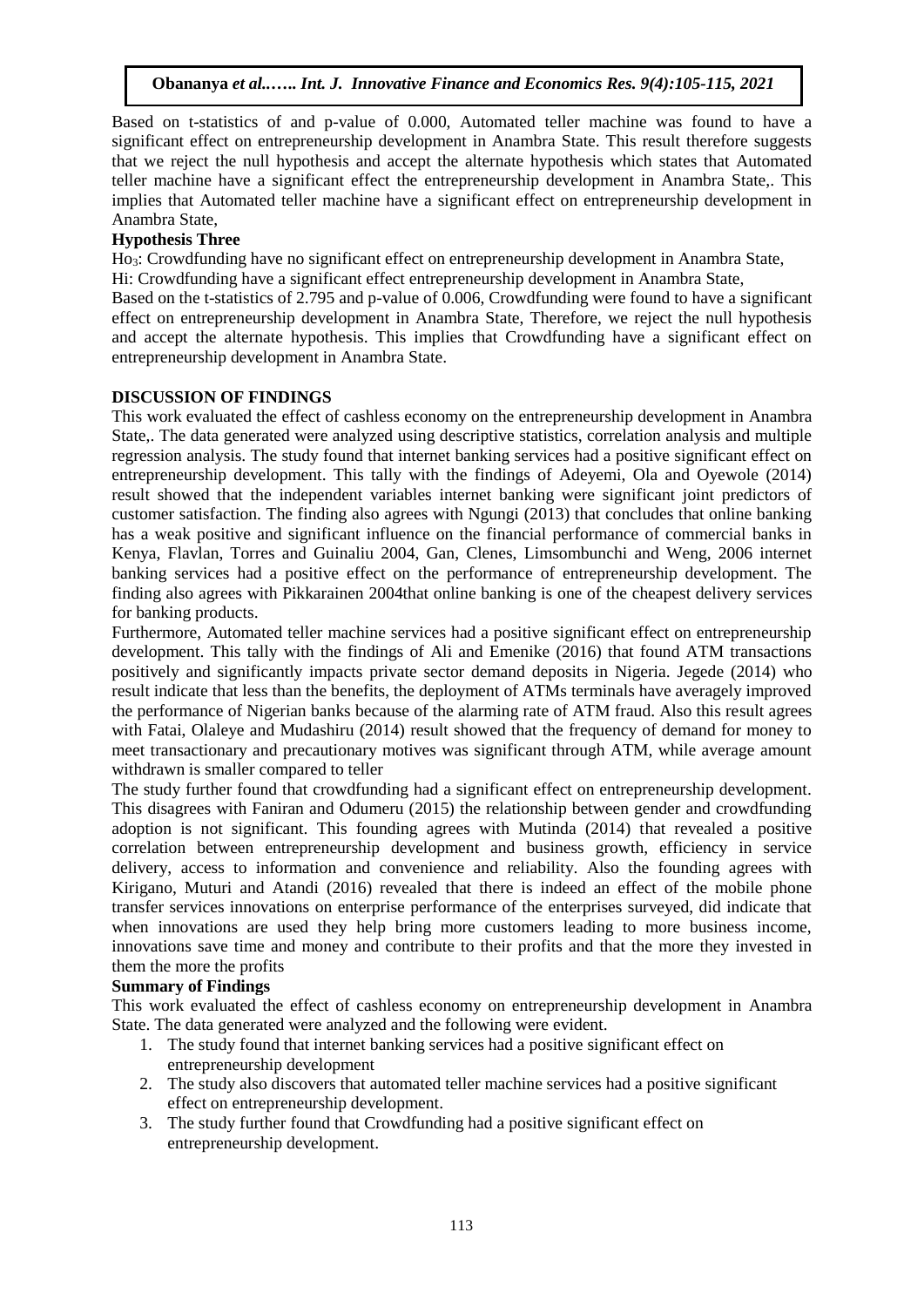Based on t-statistics of and p-value of 0.000, Automated teller machine was found to have a significant effect on entrepreneurship development in Anambra State. This result therefore suggests that we reject the null hypothesis and accept the alternate hypothesis which states that Automated teller machine have a significant effect the entrepreneurship development in Anambra State,. This implies that Automated teller machine have a significant effect on entrepreneurship development in Anambra State,

# **Hypothesis Three**

Ho3: Crowdfunding have no significant effect on entrepreneurship development in Anambra State,

Hi: Crowdfunding have a significant effect entrepreneurship development in Anambra State,

Based on the t-statistics of 2.795 and p-value of 0.006, Crowdfunding were found to have a significant effect on entrepreneurship development in Anambra State, Therefore, we reject the null hypothesis and accept the alternate hypothesis. This implies that Crowdfunding have a significant effect on entrepreneurship development in Anambra State.

# **DISCUSSION OF FINDINGS**

This work evaluated the effect of cashless economy on the entrepreneurship development in Anambra State,. The data generated were analyzed using descriptive statistics, correlation analysis and multiple regression analysis. The study found that internet banking services had a positive significant effect on entrepreneurship development. This tally with the findings of Adeyemi, Ola and Oyewole (2014) result showed that the independent variables internet banking were significant joint predictors of customer satisfaction. The finding also agrees with Ngungi (2013) that concludes that online banking has a weak positive and significant influence on the financial performance of commercial banks in Kenya, Flavlan, Torres and Guinaliu 2004, Gan, Clenes, Limsombunchi and Weng, 2006 internet banking services had a positive effect on the performance of entrepreneurship development. The finding also agrees with Pikkarainen 2004that online banking is one of the cheapest delivery services for banking products.

Furthermore, Automated teller machine services had a positive significant effect on entrepreneurship development. This tally with the findings of Ali and Emenike (2016) that found ATM transactions positively and significantly impacts private sector demand deposits in Nigeria. Jegede (2014) who result indicate that less than the benefits, the deployment of ATMs terminals have averagely improved the performance of Nigerian banks because of the alarming rate of ATM fraud. Also this result agrees with Fatai, Olaleye and Mudashiru (2014) result showed that the frequency of demand for money to meet transactionary and precautionary motives was significant through ATM, while average amount withdrawn is smaller compared to teller

The study further found that crowdfunding had a significant effect on entrepreneurship development. This disagrees with Faniran and Odumeru (2015) the relationship between gender and crowdfunding adoption is not significant. This founding agrees with Mutinda (2014) that revealed a positive correlation between entrepreneurship development and business growth, efficiency in service delivery, access to information and convenience and reliability. Also the founding agrees with Kirigano, Muturi and Atandi (2016) revealed that there is indeed an effect of the mobile phone transfer services innovations on enterprise performance of the enterprises surveyed, did indicate that when innovations are used they help bring more customers leading to more business income, innovations save time and money and contribute to their profits and that the more they invested in them the more the profits

# **Summary of Findings**

This work evaluated the effect of cashless economy on entrepreneurship development in Anambra State. The data generated were analyzed and the following were evident.

- 1. The study found that internet banking services had a positive significant effect on entrepreneurship development
- 2. The study also discovers that automated teller machine services had a positive significant effect on entrepreneurship development.
- 3. The study further found that Crowdfunding had a positive significant effect on entrepreneurship development.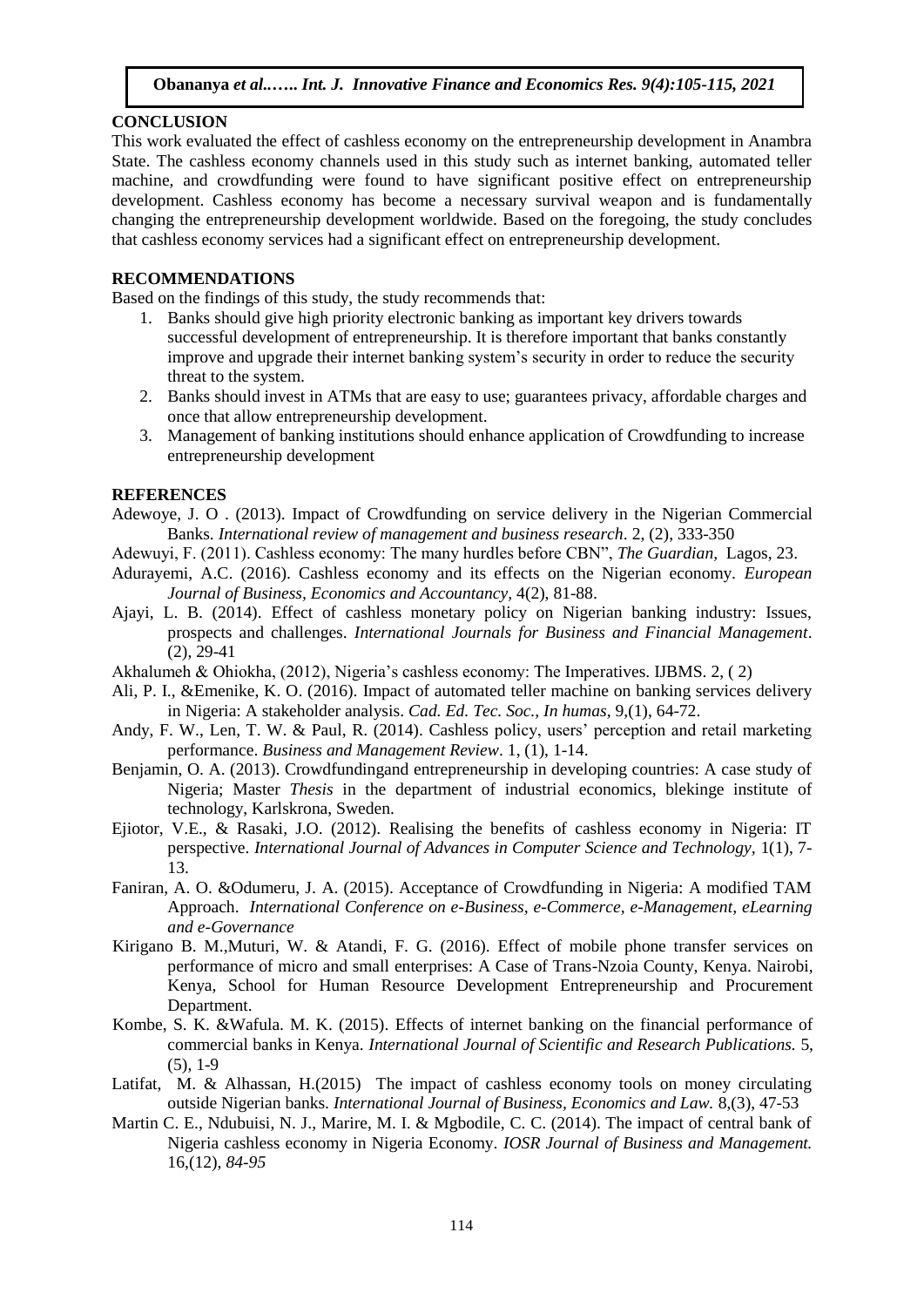#### **CONCLUSION**

This work evaluated the effect of cashless economy on the entrepreneurship development in Anambra State. The cashless economy channels used in this study such as internet banking, automated teller machine, and crowdfunding were found to have significant positive effect on entrepreneurship development. Cashless economy has become a necessary survival weapon and is fundamentally changing the entrepreneurship development worldwide. Based on the foregoing, the study concludes that cashless economy services had a significant effect on entrepreneurship development.

# **RECOMMENDATIONS**

Based on the findings of this study, the study recommends that:

- 1. Banks should give high priority electronic banking as important key drivers towards successful development of entrepreneurship. It is therefore important that banks constantly improve and upgrade their internet banking system's security in order to reduce the security threat to the system.
- 2. Banks should invest in ATMs that are easy to use; guarantees privacy, affordable charges and once that allow entrepreneurship development.
- 3. Management of banking institutions should enhance application of Crowdfunding to increase entrepreneurship development

# **REFERENCES**

- Adewoye, J. O . (2013). Impact of Crowdfunding on service delivery in the Nigerian Commercial Banks. *International review of management and business research*. 2, (2), 333-350
- Adewuyi, F. (2011). Cashless economy: The many hurdles before CBN", *The Guardian,* Lagos, 23.
- Adurayemi, A.C. (2016). Cashless economy and its effects on the Nigerian economy. *European Journal of Business, Economics and Accountancy,* 4(2), 81-88.
- Ajayi, L. B. (2014). Effect of cashless monetary policy on Nigerian banking industry: Issues, prospects and challenges. *International Journals for Business and Financial Management*. (2), 29-41
- Akhalumeh & Ohiokha, (2012), Nigeria's cashless economy: The Imperatives. IJBMS. 2, ( 2)
- Ali, P. I., &Emenike, K. O. (2016). Impact of automated teller machine on banking services delivery in Nigeria: A stakeholder analysis. *Cad. Ed. Tec. Soc., In humas,* 9,(1), 64-72.
- Andy, F. W., Len, T. W. & Paul, R. (2014). Cashless policy, users' perception and retail marketing performance. *Business and Management Review*. 1, (1), 1-14.
- Benjamin, O. A. (2013). Crowdfundingand entrepreneurship in developing countries: A case study of Nigeria; Master *Thesis* in the department of industrial economics, blekinge institute of technology, Karlskrona, Sweden.
- Ejiotor, V.E., & Rasaki, J.O. (2012). Realising the benefits of cashless economy in Nigeria: IT perspective. *International Journal of Advances in Computer Science and Technology,* 1(1), 7- 13.
- Faniran, A. O. &Odumeru, J. A. (2015). Acceptance of Crowdfunding in Nigeria: A modified TAM Approach. *International Conference on e-Business, e-Commerce, e-Management, eLearning and e-Governance*
- Kirigano B. M.,Muturi, W. & Atandi, F. G. (2016). Effect of mobile phone transfer services on performance of micro and small enterprises: A Case of Trans-Nzoia County, Kenya. Nairobi, Kenya, School for Human Resource Development Entrepreneurship and Procurement Department.
- Kombe, S. K. &Wafula. M. K. (2015). Effects of internet banking on the financial performance of commercial banks in Kenya. *International Journal of Scientific and Research Publications.* 5,  $(5)$ , 1-9
- Latifat, M. & Alhassan, H.(2015) The impact of cashless economy tools on money circulating outside Nigerian banks. *International Journal of Business, Economics and Law.* 8,(3), 47-53
- Martin C. E., Ndubuisi, N. J., Marire, M. I. & Mgbodile, C. C. (2014). The impact of central bank of Nigeria cashless economy in Nigeria Economy. *IOSR Journal of Business and Management.*  16,(12), *84-95*